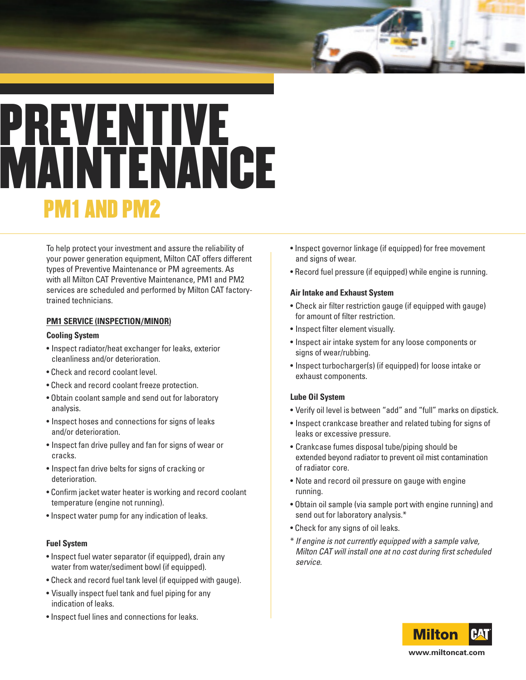# **PREVENTIVE MAINTENANCE PM1 AND PM2**

To help protect your investment and assure the reliability of your power generation equipment, Milton CAT offers different types of Preventive Maintenance or PM agreements. As with all Milton CAT Preventive Maintenance, PM1 and PM2 services are scheduled and performed by Milton CAT factorytrained technicians.

# **PM1 SERVICE (INSPECTION/MINOR)**

#### **Cooling System**

- Inspect radiator/heat exchanger for leaks, exterior cleanliness and/or deterioration.
- Check and record coolant level.
- Check and record coolant freeze protection.
- Obtain coolant sample and send out for laboratory analysis.
- Inspect hoses and connections for signs of leaks and/or deterioration.
- Inspect fan drive pulley and fan for signs of wear or cracks.
- Inspect fan drive belts for signs of cracking or deterioration.
- Confirm jacket water heater is working and record coolant temperature (engine not running).
- Inspect water pump for any indication of leaks.

# **Fuel System**

- Inspect fuel water separator (if equipped), drain any water from water/sediment bowl (if equipped).
- Check and record fuel tank level (if equipped with gauge).
- Visually inspect fuel tank and fuel piping for any indication of leaks.
- Inspect fuel lines and connections for leaks.
- Inspect governor linkage (if equipped) for free movement and signs of wear.
- Record fuel pressure (if equipped) while engine is running.

#### **Air Intake and Exhaust System**

- Check air filter restriction gauge (if equipped with gauge) for amount of filter restriction.
- Inspect filter element visually.
- Inspect air intake system for any loose components or signs of wear/rubbing.
- Inspect turbocharger(s) (if equipped) for loose intake or exhaust components.

# **Lube Oil System**

- Verify oil level is between "add" and "full" marks on dipstick.
- Inspect crankcase breather and related tubing for signs of leaks or excessive pressure.
- Crankcase fumes disposal tube/piping should be extended beyond radiator to prevent oil mist contamination of radiator core.
- Note and record oil pressure on gauge with engine running.
- Obtain oil sample (via sample port with engine running) and send out for laboratory analysis.\*
- Check for any signs of oil leaks.
- \* If engine is not currently equipped with <sup>a</sup> sample valve, Milton CAT will install one at no cost during first scheduled service.